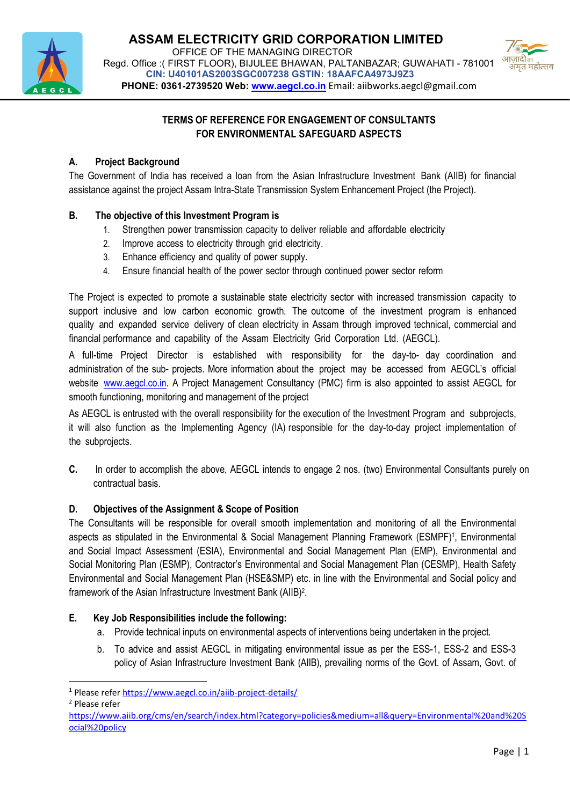



# TERMS OF REFERENCE FOR ENGAGEMENT OF CONSULTANTS FOR ENVIRONMENTAL SAFEGUARD ASPECTS

## A. Project Background

The Government of India has received a loan from the Asian Infrastructure Investment Bank (AIIB) for financial assistance against the project Assam Intra-State Transmission System Enhancement Project (the Project).

# B. The objective of this Investment Program is

- 1. Strengthen power transmission capacity to deliver reliable and affordable electricity
- 2. Improve access to electricity through grid electricity.
- 3. Enhance efficiency and quality of power supply.
- 4. Ensure financial health of the power sector through continued power sector reform

The Project is expected to promote a sustainable state electricity sector with increased transmission capacity to support inclusive and low carbon economic growth. The outcome of the investment program is enhanced quality and expanded service delivery of clean electricity in Assam through improved technical, commercial and financial performance and capability of the Assam Electricity Grid Corporation Ltd. (AEGCL).

A full-time Project Director is established with responsibility for the day-to- day coordination and administration of the sub- projects. More information about the project may be accessed from AEGCL's official website www.aegcl.co.in. A Project Management Consultancy (PMC) firm is also appointed to assist AEGCL for smooth functioning, monitoring and management of the project

As AEGCL is entrusted with the overall responsibility for the execution of the Investment Program and subprojects, it will also function as the Implementing Agency (IA) responsible for the day-to-day project implementation of the subprojects.

C. In order to accomplish the above, AEGCL intends to engage 2 nos. (two) Environmental Consultants purely on contractual basis.

## D. Objectives of the Assignment & Scope of Position

The Consultants will be responsible for overall smooth implementation and monitoring of all the Environmental aspects as stipulated in the Environmental & Social Management Planning Framework (ESMPF)<sup>1</sup>, Environmental and Social Impact Assessment (ESIA), Environmental and Social Management Plan (EMP), Environmental and Social Monitoring Plan (ESMP), Contractor's Environmental and Social Management Plan (CESMP), Health Safety Environmental and Social Management Plan (HSE&SMP) etc. in line with the Environmental and Social policy and framework of the Asian Infrastructure Investment Bank (AIIB)<sup>2</sup> .

# E. Key Job Responsibilities include the following:

- a. Provide technical inputs on environmental aspects of interventions being undertaken in the project.
- b. To advice and assist AEGCL in mitigating environmental issue as per the ESS-1, ESS-2 and ESS-3 policy of Asian Infrastructure Investment Bank (AIIB), prevailing norms of the Govt. of Assam, Govt. of

2 Please refer

-

<sup>&</sup>lt;sup>1</sup> Please refer https://www.aegcl.co.in/aiib-project-details/

https://www.aiib.org/cms/en/search/index.html?category=policies&medium=all&query=Environmental%20and%20S ocial%20policy